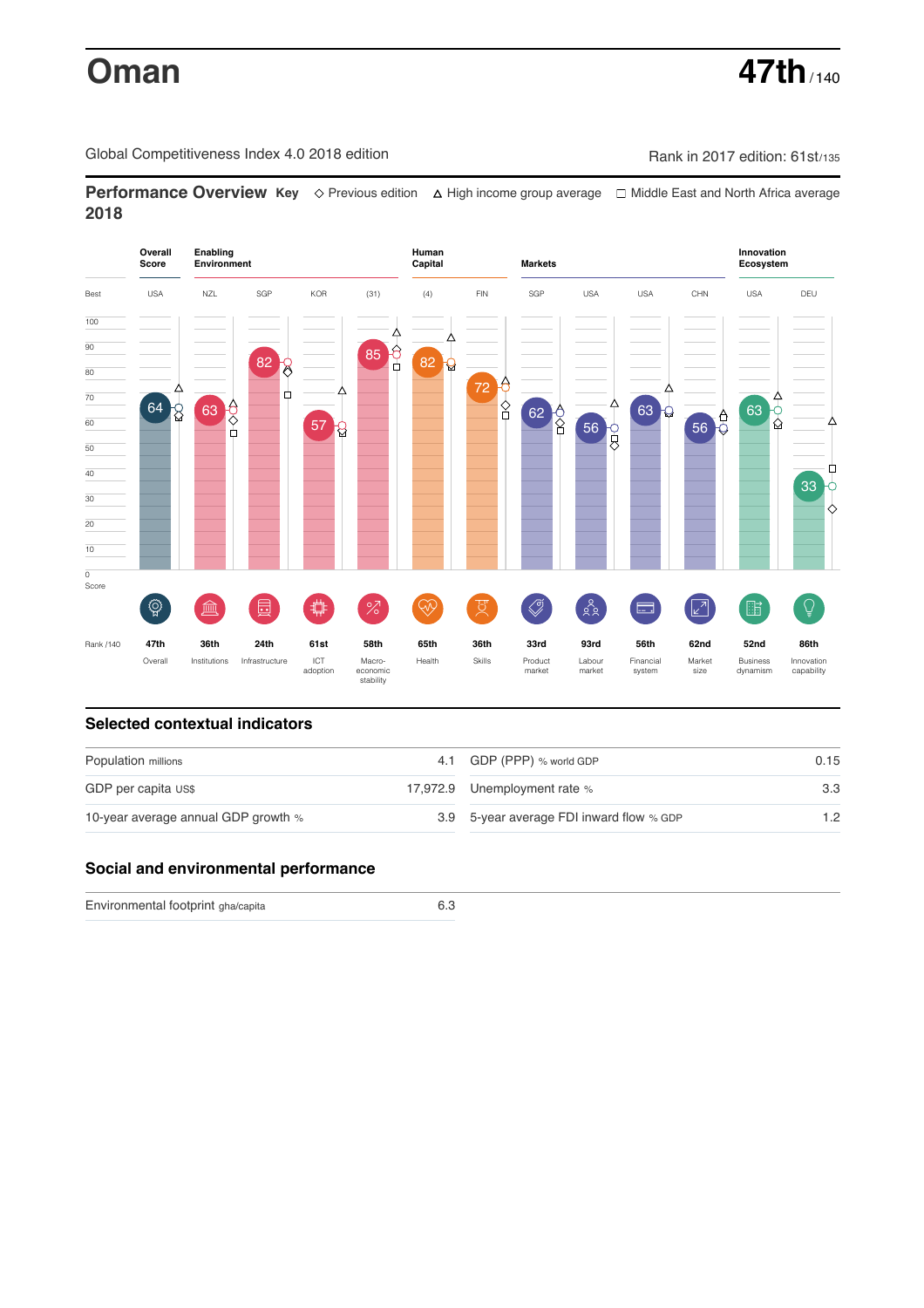Global Competitiveness Index 4.0 2018 edition Company Company Rank in 2017 edition: 61st/135

**Performance Overview Key** Previous edition High income group average Middle East and North Africa average **2018**



# **Selected contextual indicators**

| Population millions                 | 4.1 GDP (PPP) % world GDP                | 0.15 |  |
|-------------------------------------|------------------------------------------|------|--|
| GDP per capita US\$                 | 17,972.9 Unemployment rate %             | 3.3  |  |
| 10-year average annual GDP growth % | 3.9 5-year average FDI inward flow % GDP | 1.2  |  |

### **Social and environmental performance**

Environmental footprint gha/capita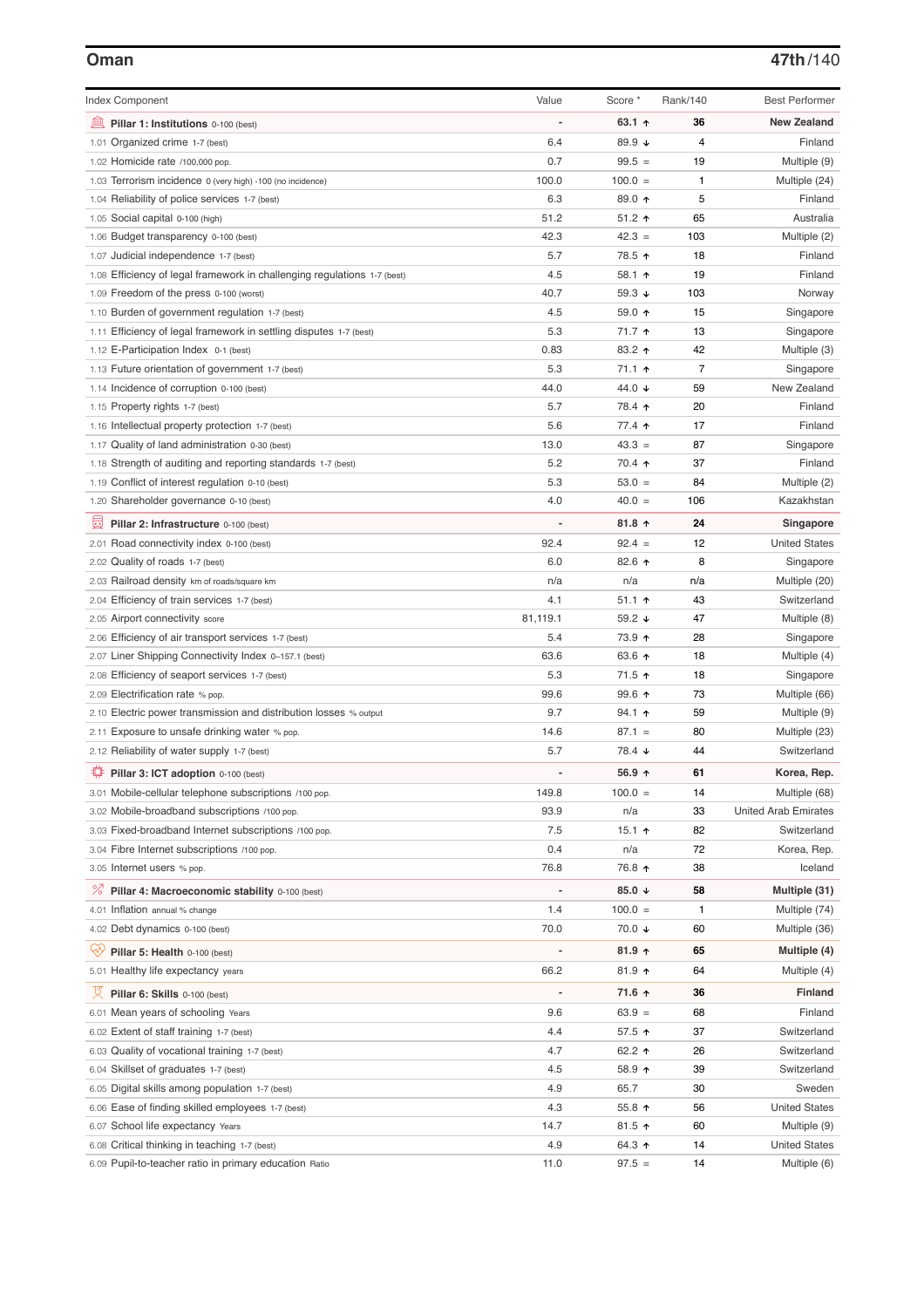# **Oman 47th**/140

| <b>Index Component</b>                                                   | Value    | Score *         | Rank/140       | <b>Best Performer</b>       |
|--------------------------------------------------------------------------|----------|-----------------|----------------|-----------------------------|
| 皿<br>Pillar 1: Institutions 0-100 (best)                                 |          | 63.1 $\uparrow$ | 36             | <b>New Zealand</b>          |
| 1.01 Organized crime 1-7 (best)                                          | 6.4      | 89.9 ↓          | 4              | Finland                     |
| 1.02 Homicide rate /100,000 pop.                                         | 0.7      | $99.5 =$        | 19             | Multiple (9)                |
| 1.03 Terrorism incidence 0 (very high) -100 (no incidence)               | 100.0    | $100.0 =$       | 1              | Multiple (24)               |
| 1.04 Reliability of police services 1-7 (best)                           | 6.3      | 89.0 个          | 5              | Finland                     |
| 1.05 Social capital 0-100 (high)                                         | 51.2     | $51.2$ ↑        | 65             | Australia                   |
| 1.06 Budget transparency 0-100 (best)                                    | 42.3     | $42.3 =$        | 103            | Multiple (2)                |
| 1.07 Judicial independence 1-7 (best)                                    | 5.7      | 78.5 ↑          | 18             | Finland                     |
| 1.08 Efficiency of legal framework in challenging regulations 1-7 (best) | 4.5      | 58.1 $\uparrow$ | 19             | Finland                     |
| 1.09 Freedom of the press 0-100 (worst)                                  | 40.7     | 59.3 $\sqrt{ }$ | 103            | Norway                      |
| 1.10 Burden of government regulation 1-7 (best)                          | 4.5      | 59.0 ↑          | 15             | Singapore                   |
| 1.11 Efficiency of legal framework in settling disputes 1-7 (best)       | 5.3      | 71.7 ተ          | 13             | Singapore                   |
| 1.12 E-Participation Index 0-1 (best)                                    | 0.83     | 83.2 ↑          | 42             | Multiple (3)                |
| 1.13 Future orientation of government 1-7 (best)                         | 5.3      | 71.1 ↑          | $\overline{7}$ | Singapore                   |
| 1.14 Incidence of corruption 0-100 (best)                                | 44.0     | 44.0 ↓          | 59             | New Zealand                 |
| 1.15 Property rights 1-7 (best)                                          | 5.7      | 78.4 ↑          | 20             | Finland                     |
| 1.16 Intellectual property protection 1-7 (best)                         | 5.6      | $77.4$ ↑        | 17             | Finland                     |
| 1.17 Quality of land administration 0-30 (best)                          | 13.0     | $43.3 =$        | 87             | Singapore                   |
| 1.18 Strength of auditing and reporting standards 1-7 (best)             | 5.2      | 70.4 ↑          | 37             | Finland                     |
| 1.19 Conflict of interest regulation 0-10 (best)                         | 5.3      | $53.0 =$        | 84             | Multiple (2)                |
| 1.20 Shareholder governance 0-10 (best)                                  | 4.0      | $40.0 =$        | 106            | Kazakhstan                  |
| 圓                                                                        |          | $81.8$ ^        | 24             |                             |
| Pillar 2: Infrastructure 0-100 (best)                                    |          |                 |                | Singapore                   |
| 2.01 Road connectivity index 0-100 (best)                                | 92.4     | $92.4 =$        | 12             | <b>United States</b>        |
| 2.02 Quality of roads 1-7 (best)                                         | 6.0      | 82.6 ↑          | 8              | Singapore                   |
| 2.03 Railroad density km of roads/square km                              | n/a      | n/a             | n/a            | Multiple (20)               |
| 2.04 Efficiency of train services 1-7 (best)                             | 4.1      | $51.1$ 1        | 43             | Switzerland                 |
| 2.05 Airport connectivity score                                          | 81,119.1 | 59.2 $\sqrt{ }$ | 47             | Multiple (8)                |
| 2.06 Efficiency of air transport services 1-7 (best)                     | 5.4      | 73.9 ↑          | 28             | Singapore                   |
| 2.07 Liner Shipping Connectivity Index 0-157.1 (best)                    | 63.6     | 63.6 个          | 18             | Multiple (4)                |
| 2.08 Efficiency of seaport services 1-7 (best)                           | 5.3      | 71.5 ↑          | 18             | Singapore                   |
| 2.09 Electrification rate % pop.                                         | 99.6     | 99.6 $\uparrow$ | 73             | Multiple (66)               |
| 2.10 Electric power transmission and distribution losses % output        | 9.7      | $94.1$ 1        | 59             | Multiple (9)                |
| 2.11 Exposure to unsafe drinking water % pop.                            | 14.6     | $87.1 =$        | 80             | Multiple (23)               |
| 2.12 Reliability of water supply 1-7 (best)                              | 5.7      | 78.4 ↓          | 44             | Switzerland                 |
| ₽<br>Pillar 3: ICT adoption 0-100 (best)                                 |          | 56.9 $\uparrow$ | 61             | Korea, Rep.                 |
| 3.01 Mobile-cellular telephone subscriptions /100 pop.                   | 149.8    | $100.0 =$       | 14             | Multiple (68)               |
| 3.02 Mobile-broadband subscriptions /100 pop.                            | 93.9     | n/a             | 33             | <b>United Arab Emirates</b> |
| 3.03 Fixed-broadband Internet subscriptions /100 pop.                    | 7.5      | 15.1 $\uparrow$ | 82             | Switzerland                 |
| 3.04 Fibre Internet subscriptions /100 pop.                              | 0.4      | n/a             | 72             | Korea, Rep.                 |
| 3.05 Internet users % pop.                                               | 76.8     | 76.8 ↑          | 38             | Iceland                     |
| <sup>%</sup> Pillar 4: Macroeconomic stability 0-100 (best)              |          | 85.0 ↓          | 58             | Multiple (31)               |
| 4.01 Inflation annual % change                                           | 1.4      | $100.0 =$       | 1              | Multiple (74)               |
| 4.02 Debt dynamics 0-100 (best)                                          | 70.0     | 70.0 ↓          | 60             | Multiple (36)               |
|                                                                          |          |                 |                |                             |
| Qÿ<br>Pillar 5: Health 0-100 (best)                                      |          | $81.9$ ↑        | 65             | Multiple (4)                |
| 5.01 Healthy life expectancy years                                       | 66.2     | $81.9$ 1        | 64             | Multiple (4)                |
| 성<br>Pillar 6: Skills 0-100 (best)                                       |          | 71.6 ↑          | 36             | <b>Finland</b>              |
| 6.01 Mean years of schooling Years                                       | 9.6      | $63.9 =$        | 68             | Finland                     |
| 6.02 Extent of staff training 1-7 (best)                                 | 4.4      | 57.5 个          | 37             | Switzerland                 |
| 6.03 Quality of vocational training 1-7 (best)                           | 4.7      | 62.2 $\uparrow$ | 26             | Switzerland                 |
| 6.04 Skillset of graduates 1-7 (best)                                    | 4.5      | 58.9 ↑          | 39             | Switzerland                 |
| 6.05 Digital skills among population 1-7 (best)                          | 4.9      | 65.7            | 30             | Sweden                      |
| 6.06 Ease of finding skilled employees 1-7 (best)                        | 4.3      | 55.8 个          | 56             | <b>United States</b>        |
| 6.07 School life expectancy Years                                        | 14.7     | $81.5$ ↑        | 60             | Multiple (9)                |
| 6.08 Critical thinking in teaching 1-7 (best)                            | 4.9      | 64.3 ↑          | 14             | <b>United States</b>        |
| 6.09 Pupil-to-teacher ratio in primary education Ratio                   | 11.0     | $97.5 =$        | 14             | Multiple (6)                |